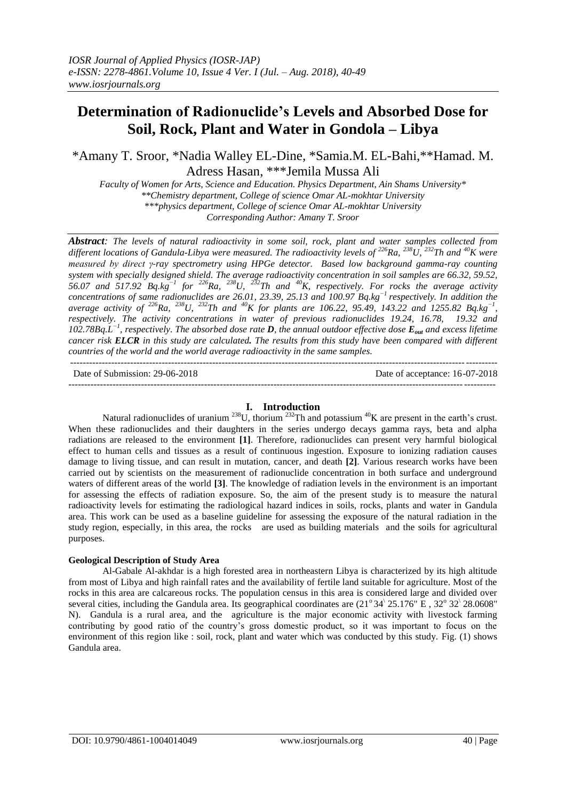# **Determination of Radionuclide's Levels and Absorbed Dose for Soil, Rock, Plant and Water in Gondola – Libya**

\*Amany T. Sroor, \*Nadia Walley EL-Dine, \*Samia.M. EL-Bahi,\*\*Hamad. M. Adress Hasan, \*\*\*Jemila Mussa Ali

*Faculty of Women for Arts, Science and Education. Physics Department, Ain Shams University\* \*\*Chemistry department, College of science Omar AL-mokhtar University \*\*\*physics department, College of science Omar AL-mokhtar University Corresponding Author: Amany T. Sroor*

*Abstract: The levels of natural radioactivity in some soil, rock, plant and water samples collected from different locations of Gandula-Libya were measured. The radioactivity levels of <sup>226</sup><i>Ra*, <sup>238</sup>*U*, <sup>232</sup>*Th and* <sup>40</sup>*K* were *measured by direct γ‐ray spectrometry using HPGe detector. Based low background gamma-ray counting system with specially designed shield. The average radioactivity concentration in soil samples are 66.32, 59.52, 56.07 and 517.92 Bq.kg−1 for <sup>226</sup>Ra, <sup>238</sup>U, <sup>232</sup>Th and <sup>40</sup>K, respectively. For rocks the average activity concentrations of same radionuclides are 26.01, 23.39, 25.13 and 100.97 Bq.kg−1 respectively. In addition the average activity of <sup>226</sup>Ra, <sup>238</sup>U, <sup>232</sup>Th and <sup>40</sup>K for plants are 106.22, 95.49, 143.22 and 1255.82 Bq.kg−1 , respectively. The activity concentrations in water of previous radionuclides 19.24, 16.78, 19.32 and 102.78Bq.L −1 , respectively. The absorbed dose rate D, the annual outdoor effective dose Eout and excess lifetime cancer risk ELCR in this study are calculated. The results from this study have been compared with different countries of the world and the world average radioactivity in the same samples*.  $-1.1$ 

Date of Submission: 29-06-2018 Date of acceptance: 16-07-2018

---------------------------------------------------------------------------------------------------------------------------------------

# **I. Introduction**

Natural radionuclides of uranium <sup>238</sup>U, thorium <sup>232</sup>Th and potassium <sup>40</sup>K are present in the earth's crust. When these radionuclides and their daughters in the series undergo decays gamma rays, beta and alpha radiations are released to the environment **[1]**. Therefore, radionuclides can present very harmful biological effect to human cells and tissues as a result of continuous ingestion. Exposure to ionizing radiation causes damage to living tissue, and can result in mutation, cancer, and death **[2]**. Various research works have been carried out by scientists on the measurement of radionuclide concentration in both surface and underground waters of different areas of the world **[3]**. The knowledge of radiation levels in the environment is an important for assessing the effects of radiation exposure. So, the aim of the present study is to measure the natural radioactivity levels for estimating the radiological hazard indices in soils, rocks, plants and water in Gandula area. This work can be used as a baseline guideline for assessing the exposure of the natural radiation in the study region, especially, in this area, the rocks are used as building materials and the soils for agricultural purposes.

# **Geological Description of Study Area**

Al-Gabale Al-akhdar is a high forested area in northeastern Libya is characterized by its high altitude from most of Libya and high rainfall rates and the availability of fertile land suitable for agriculture. Most of the rocks in this area are calcareous rocks. The population census in this area is considered large and divided over several cities, including the Gandula area. Its geographical coordinates are  $(21^\circ 34^\circ 25.176^\circ \text{ E}$ ,  $32^\circ 32^\circ 28.0608^\circ$ N). Gandula is a rural area, and the agriculture is the major economic activity with livestock farming contributing by good ratio of the country's gross domestic product, so it was important to focus on the environment of this region like : soil, rock, plant and water which was conducted by this study. Fig. (1) shows Gandula area.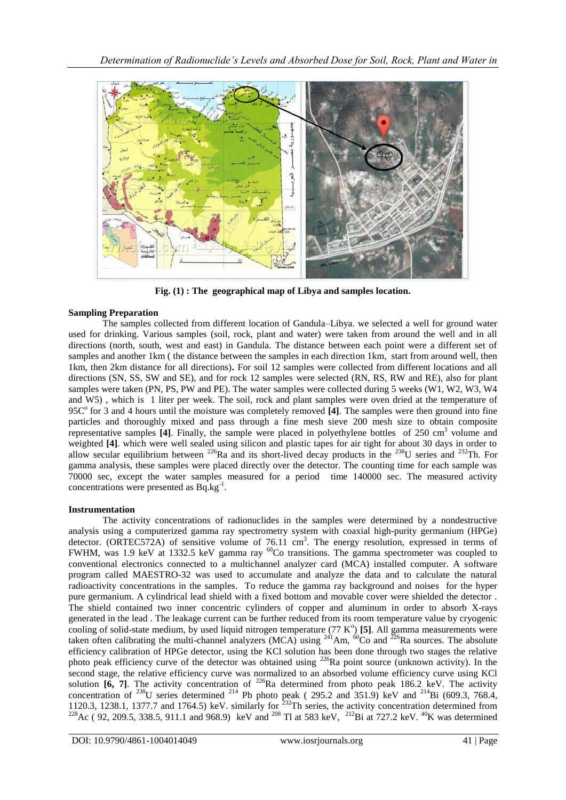

**Fig. (1) : The geographical map of Libya and samples location.**

# **Sampling Preparation**

The samples collected from different location of Gandula–Libya. we selected a well for ground water used for drinking. Various samples (soil, rock, plant and water) were taken from around the well and in all directions (north, south, west and east) in Gandula. The distance between each point were a different set of samples and another 1km ( the distance between the samples in each direction 1km, start from around well, then 1km, then 2km distance for all directions)**.** For soil 12 samples were collected from different locations and all directions (SN, SS, SW and SE), and for rock 12 samples were selected (RN, RS, RW and RE), also for plant samples were taken (PN, PS, PW and PE). The water samples were collected during 5 weeks (W1, W2, W3, W4 and W5) , which is 1 liter per week. The soil, rock and plant samples were oven dried at the temperature of 95C<sup>°</sup> for 3 and 4 hours until the moisture was completely removed [4]. The samples were then ground into fine particles and thoroughly mixed and pass through a fine mesh sieve 200 mesh size to obtain composite representative samples [4]. Finally, the sample were placed in polyethylene bottles of 250 cm<sup>3</sup> volume and weighted [4]. which were well sealed using silicon and plastic tapes for air tight for about 30 days in order to allow secular equilibrium between <sup>226</sup>Ra and its short-lived decay products in the <sup>238</sup>U series and <sup>232</sup>Th. For gamma analysis, these samples were placed directly over the detector. The counting time for each sample was 70000 sec, except the water samples measured for a period time 140000 sec. The measured activity concentrations were presented as Bq.kg<sup>-1</sup>.

# **Instrumentation**

The activity concentrations of radionuclides in the samples were determined by a nondestructive analysis using a computerized gamma ray spectrometry system with coaxial high-purity germanium (HPGe) detector. (ORTEC572A) of sensitive volume of 76.11 cm<sup>3</sup>. The energy resolution, expressed in terms of FWHM, was 1.9 keV at 1332.5 keV gamma ray <sup>60</sup>Co transitions. The gamma spectrometer was coupled to conventional electronics connected to a multichannel analyzer card (MCA) installed computer. A software program called MAESTRO-32 was used to accumulate and analyze the data and to calculate the natural radioactivity concentrations in the samples. To reduce the gamma ray background and noises for the hyper pure germanium. A cylindrical lead shield with a fixed bottom and movable cover were shielded the detector . The shield contained two inner concentric cylinders of copper and aluminum in order to absorb X-rays generated in the lead . The leakage current can be further reduced from its room temperature value by cryogenic cooling of solid-state medium, by used liquid nitrogen temperature  $(77 \text{ K}^{\circ})$  [5]. All gamma measurements were taken often calibrating the multi-channel analyzers (MCA) using  $^{241}$ Am,  $^{60}$ Co and  $^{226}$ Ra sources. The absolute efficiency calibration of HPGe detector, using the KCl solution has been done through two stages the relative photo peak efficiency curve of the detector was obtained using <sup>226</sup>Ra point source (unknown activity). In the second stage, the relative efficiency curve was normalized to an absorbed volume efficiency curve using KCl solution  $\overline{[6, 7]}$ . The activity concentration of <sup>226</sup>Ra determined from photo peak 186.2 keV. The activity concentration of <sup>238</sup>U series determined <sup>214</sup> Pb photo peak (295.2 and 351.9) keV and <sup>214</sup>Bi (609.3, 768.4, 1120.3, 1238.1, 1377.7 and 1764.5) keV. similarly for  $^{232}$ Th series, the activity concentration determined from <sup>228</sup> Ac ( 92, 209.5, 338.5, 911.1 and 968.9) keV and <sup>208</sup> Tl at 583 keV, <sup>212</sup>Bi at 727.2 keV. <sup>40</sup>K was determined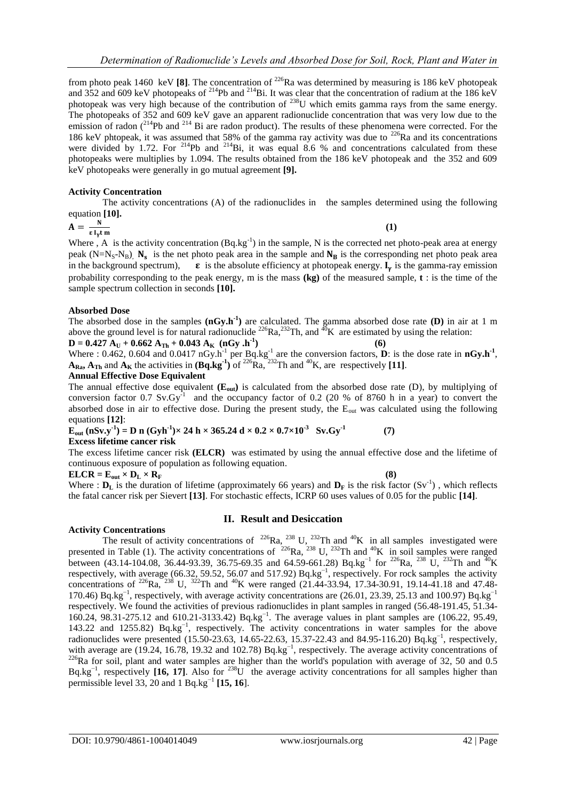from photo peak 1460 keV [8]. The concentration of <sup>226</sup>Ra was determined by measuring is 186 keV photopeak and 352 and 609 keV photopeaks of <sup>214</sup>Pb and <sup>214</sup>Bi. It was clear that the concentration of radium at the 186 keV photopeak was very high because of the contribution of <sup>238</sup>U which emits gamma rays from the same energy. The photopeaks of 352 and 609 keV gave an apparent radionuclide concentration that was very low due to the emission of radon  $(^{214}Pb$  and  $^{214}$  Bi are radon product). The results of these phenomena were corrected. For the 186 keV phtopeak, it was assumed that 58% of the gamma ray activity was due to <sup>226</sup>Ra and its concentrations were divided by 1.72. For <sup>214</sup>Pb and <sup>214</sup>Bi, it was equal 8.6 % and concentrations calculated from these photopeaks were multiplies by 1.094. The results obtained from the 186 keV photopeak and the 352 and 609 keV photopeaks were generally in go mutual agreement **[9].**

# **Activity Concentration**

The activity concentrations (A) of the radionuclides in the samples determined using the following equation **[10].**

$$
A = \frac{N}{\epsilon l_y t m}
$$
 (1)

Where, A is the activity concentration  $(Bq \text{.kg}^{-1})$  in the sample, N is the corrected net photo-peak area at energy peak  $(N=N_S-N_B)$ ,  $N_s$  is the net photo peak area in the sample and  $N_B$  is the corresponding net photo peak area in the background spectrum),  $\epsilon$  is the absolute efficiency at photopeak energy.  $I_{\gamma}$  is the gamma-ray emission probability corresponding to the peak energy, m is the mass **(kg)** of the measured sample, **t** : is the time of the sample spectrum collection in seconds **[10].**

## **Absorbed Dose**

The absorbed dose in the samples  $(nGy.h<sup>-1</sup>)$  are calculated. The gamma absorbed dose rate  $(D)$  in air at 1 m above the ground level is for natural radionuclide <sup>226</sup>Ra,<sup>232</sup>Th, and <sup>40</sup>K are estimated by using the relation:  $D = 0.427$   $A_U + 0.662$   $A_{Th} + 0.043$   $A_K$   $(nG_y)$ .h<sup>-1</sup> **) (6)** 

Where :  $0.462$ ,  $0.604$  and  $0.0417 \text{ nGy.h}^{-1}$  per Bq.kg<sup>-1</sup> are the conversion factors, **D**: is the dose rate in  $nGy.h^{-1}$ ,  $A_{\text{Ra}}$ ,  $A_{\text{Th}}$  and  $A_{\text{K}}$  the activities in  $(Bq \cdot kg^{-1})$  of <sup>226</sup>Ra, <sup>232</sup>Th and <sup>40</sup>K, are respectively [11].

#### **Annual Effective Dose Equivalent**

The annual effective dose equivalent  $(E_{out})$  is calculated from the absorbed dose rate (D), by multiplying of conversion factor 0.7 Sv.Gy<sup>-1</sup> and the occupancy factor of 0.2 (20 % of 8760 h in a year) to convert the absorbed dose in air to effective dose. During the present study, the E<sub>out</sub> was calculated using the following equations **[12]**:

 $\mathbf{E}_{\text{out}}$   $(\text{nSv.y}^{-1}) = \text{D} \text{ n } (\text{Gyh}^{-1}) \times 24 \text{ h} \times 365.24 \text{ d} \times 0.2 \times 0.7 \times 10^{-3} \text{ Sv.Gy}^{-1}$  **(7) Excess lifetime cancer risk**

The excess lifetime cancer risk **(ELCR)** was estimated by using the annual effective dose and the lifetime of continuous exposure of population as following equation.

 $\mathbf{ELCR} = \mathbf{E}_{\text{out}} \times \mathbf{D}_{\text{L}} \times \mathbf{R}_{\text{F}}$  (8)

Where :  $D_L$  is the duration of lifetime (approximately 66 years) and  $D_F$  is the risk factor (Sv<sup>-1</sup>), which reflects the fatal cancer risk per Sievert **[13]**. For stochastic effects, ICRP 60 uses values of 0.05 for the public **[14]**.

## **Activity Concentrations**

# **II. Result and Desiccation**

The result of activity concentrations of <sup>226</sup>Ra, <sup>238</sup> U, <sup>232</sup>Th and <sup>40</sup>K in all samples investigated were presented in Table (1). The activity concentrations of <sup>226</sup>Ra, <sup>238</sup> U, <sup>232</sup>Th and <sup>40</sup>K in soil samples were ranged between (43.14-104.08, 36.44-93.39, 36.75-69.35 and 64.59-661.28) Bq.kg<sup>-1</sup> for <sup>226</sup>Ra, <sup>238</sup> U, <sup>232</sup>Th and <sup>40</sup>K respectively, with average (66.32, 59.52, 56.07 and 517.92) Bq.kg<sup>-1</sup>, respectively. For rock samples the activity concentrations of <sup>226</sup>Ra, <sup>238</sup> U, <sup>322</sup>Th and <sup>40</sup>K were ranged (21.44-33.94, 17.34-30.91, 19.14-41.18 and 47.48-170.46) Bq.kg<sup>-1</sup>, respectively, with average activity concentrations are (26.01, 23.39, 25.13 and 100.97) Bq.kg<sup>-1</sup> respectively. We found the activities of previous radionuclides in plant samples in ranged (56.48-191.45, 51.34- 160.24, 98.31-275.12 and 610.21-3133.42) Bq.kg<sup>-1</sup>. The average values in plant samples are (106.22, 95.49, 143.22 and 1255.82) Bq.kg−1 , respectively. The activity concentrations in water samples for the above radionuclides were presented  $(15.50-23.63, 14.65-22.63, 15.37-22.43,$  and 84.95-116.20)  $\text{Bq.kg}^{-1}$ , respectively, with average are (19.24, 16.78, 19.32 and 102.78) Bq.kg<sup>-1</sup>, respectively. The average activity concentrations of  $^{226}$ Ra for soil, plant and water samples are higher than the world's population with average of 32, 50 and 0.5 Bq.kg<sup>-1</sup>, respectively [16, 17]. Also for <sup>238</sup>U the average activity concentrations for all samples higher than permissible level 33, 20 and 1 Bq.kg<sup>-1</sup> [15, 16].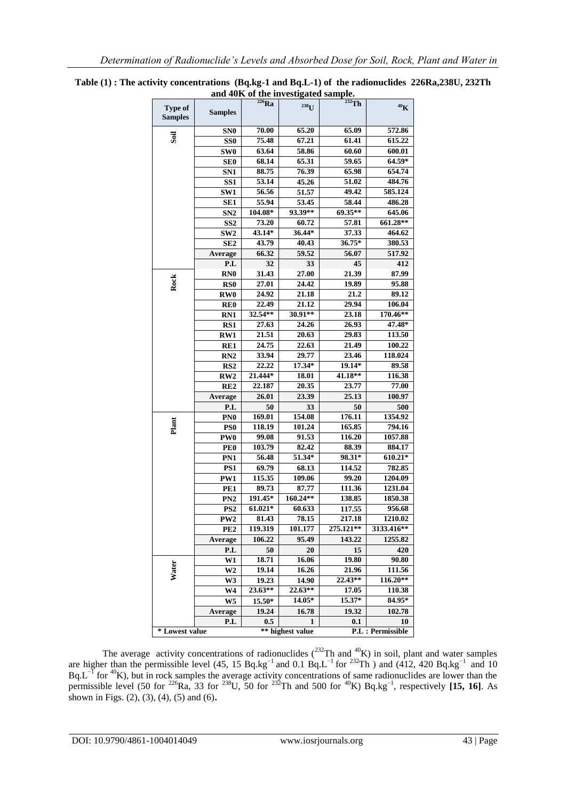|                           |                                                                |            | ани чогу от ние ничебидате заприе. |           |                 |  |  |
|---------------------------|----------------------------------------------------------------|------------|------------------------------------|-----------|-----------------|--|--|
| Type of<br><b>Samples</b> | <b>Samples</b>                                                 | $^{226}Ra$ | $238$ U                            | $232$ Th  | 40 <sub>K</sub> |  |  |
|                           | SN <sub>0</sub>                                                | 70.00      | 65.20                              | 65.09     | 572.86          |  |  |
| Soil                      | SS0                                                            | 75.48      | 67.21                              | 61.41     | 615.22          |  |  |
|                           | SW <sub>0</sub>                                                | 63.64      | 58.86                              | 60.60     | 600.01          |  |  |
|                           | <b>SE0</b>                                                     | 68.14      | 65.31                              | 59.65     | 64.59*          |  |  |
|                           | SN1                                                            | 88.75      | 76.39                              | 65.98     | 654.74          |  |  |
|                           | SS <sub>1</sub>                                                | 53.14      | 45.26                              | 51.02     | 484.76          |  |  |
|                           | SW1                                                            | 56.56      | 51.57                              | 49.42     | 585.124         |  |  |
|                           | SE <sub>1</sub>                                                | 55.94      | 53.45                              | 58.44     | 486.28          |  |  |
|                           | SN2                                                            | 104.08*    | 93.39**                            | 69.35**   | 645.06          |  |  |
|                           | SS <sub>2</sub>                                                | 73.20      | 60.72                              | 57.81     | 661.28**        |  |  |
|                           | SW <sub>2</sub>                                                | 43.14*     | 36.44*                             | 37.33     | 464.62          |  |  |
|                           | SE <sub>2</sub>                                                | 43.79      | 40.43                              | $36.75*$  | 380.53          |  |  |
|                           | Average                                                        | 66.32      | 59.52                              | 56.07     | 517.92          |  |  |
|                           | P.L                                                            | 32         | 33                                 | 45        | 412             |  |  |
|                           | <b>RNO</b>                                                     | 31.43      | 27.00                              | 21.39     | 87.99           |  |  |
| Rock                      | RS0                                                            | 27.01      | 24.42                              | 19.89     | 95.88           |  |  |
|                           | <b>RW0</b>                                                     | 24.92      | 21.18                              | 21.2      | 89.12           |  |  |
|                           | RE <sub>0</sub>                                                | 22.49      | 21.12                              | 29.94     | 106.04          |  |  |
|                           | <b>RN1</b>                                                     | 32.54**    | 30.91**                            | 23.18     | 170.46**        |  |  |
|                           | RS1                                                            | 27.63      | 24.26                              | 26.93     | 47.48*          |  |  |
|                           | RW1                                                            | 21.51      | 20.63                              | 29.83     | 113.50          |  |  |
|                           | RE1                                                            | 24.75      | 22.63                              | 21.49     | 100.22          |  |  |
|                           | RN <sub>2</sub>                                                | 33.94      | 29.77                              | 23.46     | 118.024         |  |  |
|                           | RS <sub>2</sub>                                                | 22.22      | 17.34*                             | 19.14*    | 89.58           |  |  |
|                           | RW2                                                            | 21.444*    | 18.01                              | 41.18**   | 116.38          |  |  |
|                           | RE <sub>2</sub>                                                | 22.187     | 20.35                              | 23.77     | 77.00           |  |  |
|                           | Average                                                        | 26.01      | 23.39                              | 25.13     | 100.97          |  |  |
|                           | P.L                                                            | 50         | 33                                 | 50        | 500             |  |  |
|                           | PN <sub>0</sub>                                                | 169.01     | 154.08                             | 176.11    | 1354.92         |  |  |
| Plant                     | PS <sub>0</sub>                                                | 118.19     | 101.24                             | 165.85    | 794.16          |  |  |
|                           | PW <sub>0</sub>                                                | 99.08      | 91.53                              | 116.20    | 1057.88         |  |  |
|                           | PE <sub>0</sub>                                                | 103.79     | 82.42                              | 88.39     | 884.17          |  |  |
|                           | PN1                                                            | 56.48      | 51.34*                             | 98.31*    | 610.21*         |  |  |
|                           | PS1                                                            | 69.79      | 68.13                              | 114.52    | 782.85          |  |  |
|                           | PW1                                                            | 115.35     | 109.06                             | 99.20     | 1204.09         |  |  |
|                           | PE <sub>1</sub>                                                | 89.73      | 87.77                              | 111.36    | 1231.04         |  |  |
|                           | PN2                                                            | 191.45*    | 160.24**                           | 138.85    | 1850.38         |  |  |
|                           | PS <sub>2</sub>                                                | 61.021*    | 60.633                             | 117.55    | 956.68          |  |  |
|                           | PW2                                                            | 81.43      | 78.15                              | 217.18    | 1210.02         |  |  |
|                           | PE <sub>2</sub>                                                | 119.319    | 101.177                            | 275.121** | 3133.416**      |  |  |
|                           | Average                                                        | 106.22     | 95.49                              | 143.22    | 1255.82         |  |  |
|                           | P.L                                                            | 50         | 20                                 | 15        | 420             |  |  |
|                           | W1                                                             | 18.71      | 16.06                              | 19.80     | 90.80           |  |  |
| Water                     | W2                                                             | 19.14      | 16.26                              | 21.96     | 111.56          |  |  |
|                           | W3                                                             | 19.23      | 14.90                              | 22.43**   | 116.20**        |  |  |
|                           | W4                                                             | 23.63**    | 22.63**                            | 17.05     | 110.38          |  |  |
|                           | W5                                                             | $15.50*$   | $14.05*$                           | 15.37*    | 84.95*          |  |  |
|                           | Average                                                        | 19.24      | 16.78                              | 19.32     | 102.78          |  |  |
|                           | P.L                                                            | 0.5        | 1                                  | 0.1       | 10              |  |  |
|                           | * Lowest value<br>** highest value<br><b>P.L</b> : Permissible |            |                                    |           |                 |  |  |
|                           |                                                                |            |                                    |           |                 |  |  |

**Table (1) : The activity concentrations (Bq.kg-1 and Bq.L-1) of the radionuclides 226Ra,238U, 232Th and 40K of the investigated sample.**

The average activity concentrations of radionuclides  $(^{232}Th$  and  $^{40}K$ ) in soil, plant and water samples are higher than the permissible level (45, 15 Bq.kg<sup>-1</sup> and 0.1 Bq.L<sup>-1</sup> for <sup>232</sup>Th) and (412, 420 Bq.kg<sup>-1</sup> and 10  $Bq.L^{-1}$  for <sup>40</sup>K), but in rock samples the average activity concentrations of same radionuclides are lower than the permissible level (50 for <sup>226</sup>Ra, 33 for <sup>238</sup>U, 50 for <sup>232</sup>Th and 500 for <sup>40</sup>K) Bq.kg<sup>-1</sup>, respectively [15, 16]. As shown in Figs. (2), (3), (4), (5) and (6)**.**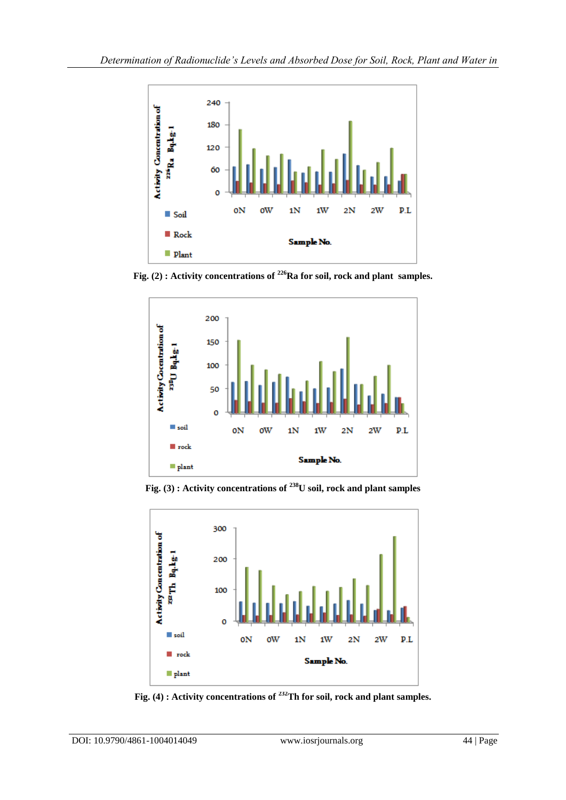

**Fig. (2) : Activity concentrations of <sup>226</sup>Ra for soil, rock and plant samples.**



**Fig. (3) : Activity concentrations of <sup>238</sup>U soil, rock and plant samples**



**Fig. (4) : Activity concentrations of <sup>232</sup>Th for soil, rock and plant samples.**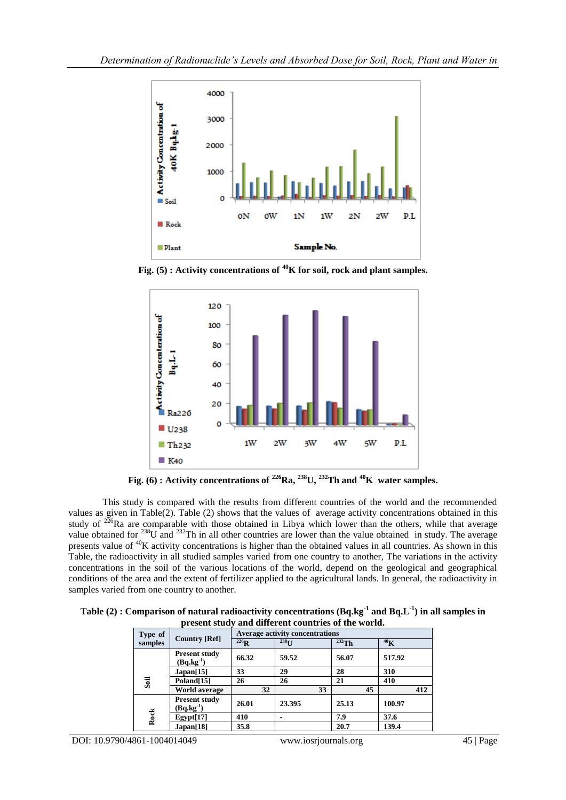

**Fig. (5) : Activity concentrations of <sup>40</sup>K for soil, rock and plant samples.**



**Fig. (6) : Activity concentrations of <sup>226</sup><b>Ra,** <sup>238</sup>**U**, <sup>232</sup>**Th and** <sup>40</sup>**K** water samples.

This study is compared with the results from different countries of the world and the recommended values as given in Table(2). Table (2) shows that the values of average activity concentrations obtained in this study of  $2^{26}$ Ra are comparable with those obtained in Libya which lower than the others, while that average value obtained for  $^{238}$ U and  $^{232}$ Th in all other countries are lower than the value obtained in study. The average presents value of <sup>40</sup>K activity concentrations is higher than the obtained values in all countries. As shown in this Table, the radioactivity in all studied samples varied from one country to another, The variations in the activity concentrations in the soil of the various locations of the world, depend on the geological and geographical conditions of the area and the extent of fertilizer applied to the agricultural lands. In general, the radioactivity in samples varied from one country to another.

| Table (2) : Comparison of natural radioactivity concentrations $(Bq \log^{-1} a)$ and $Bq \cdot L^{-1}$ in all samples in |
|---------------------------------------------------------------------------------------------------------------------------|
| present study and different countries of the world.                                                                       |

| Type of | <b>Country [Ref]</b>                   | Average activity concentrations |                          |          |                 |  |  |  |
|---------|----------------------------------------|---------------------------------|--------------------------|----------|-----------------|--|--|--|
| samples |                                        | $226$ <sub>R</sub>              | 238 <sub>T1</sub>        | $232$ Th | 40 <sub>K</sub> |  |  |  |
|         | <b>Present study</b><br>$(Bq.kg^{-1})$ | 66.32                           | 59.52                    | 56.07    | 517.92          |  |  |  |
|         | Japan[15]                              | 33                              | 29                       | 28       | 310             |  |  |  |
| Soil    | Poland[15]                             | 26                              | 26                       | 21       | 410             |  |  |  |
|         | <b>World average</b>                   | 32                              | 33                       | 45       | 412             |  |  |  |
| Rock    | <b>Present study</b><br>$(Bq.kg^{-1})$ | 26.01                           | 23.395                   | 25.13    | 100.97          |  |  |  |
|         | Egypt[17]                              | 410                             | $\overline{\phantom{0}}$ | 7.9      | 37.6            |  |  |  |
|         | Japan[18]                              | 35.8                            |                          | 20.7     | 139.4           |  |  |  |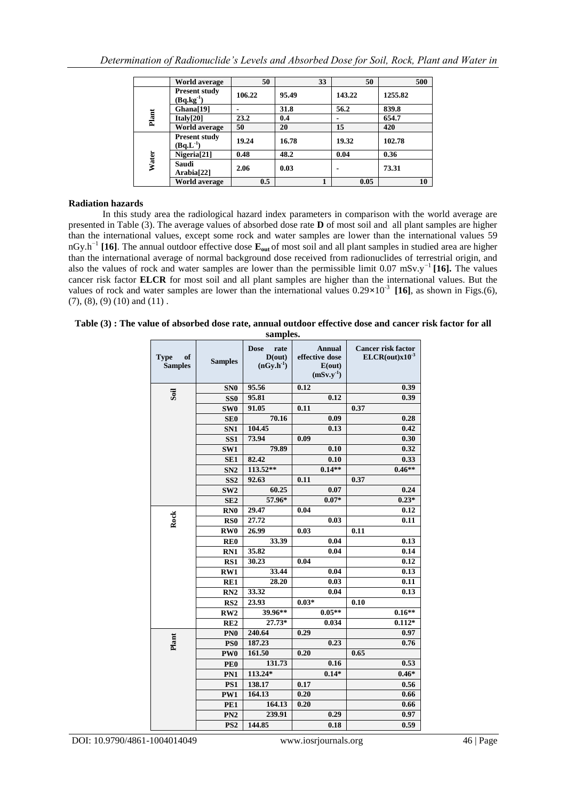|       | <b>World average</b>                   | 50     | 33    | 50     | 500     |
|-------|----------------------------------------|--------|-------|--------|---------|
|       | <b>Present study</b><br>$(Bq.kg^{-1})$ | 106.22 | 95.49 | 143.22 | 1255.82 |
|       | Ghana[19]                              |        | 31.8  | 56.2   | 839.8   |
| Plant | Italv[20]                              | 23.2   | 0.4   |        | 654.7   |
|       | <b>World average</b>                   | 50     | 20    | 15     | 420     |
| Water | <b>Present study</b><br>$(Bq.L^{-1})$  | 19.24  | 16.78 | 19.32  | 102.78  |
|       | Nigeria <sup>[21]</sup>                | 0.48   | 48.2  | 0.04   | 0.36    |
|       | Saudi<br>Arabia[22]                    | 2.06   | 0.03  |        | 73.31   |
|       | <b>World average</b>                   | 0.5    |       | 0.05   | 10      |

# **Radiation hazards**

In this study area the radiological hazard index parameters in comparison with the world average are presented in Table (3). The average values of absorbed dose rate **D** of most soil and all plant samples are higher than the international values, except some rock and water samples are lower than the international values 59 nGy.h−1 **[16]**. The annual outdoor effective dose **Eout** of most soil and all plant samples in studied area are higher than the international average of normal background dose received from radionuclides of terrestrial origin, and also the values of rock and water samples are lower than the permissible limit 0.07 mSv.y−1 **[16].** The values cancer risk factor **ELCR** for most soil and all plant samples are higher than the international values. But the values of rock and water samples are lower than the international values  $0.29 \times 10^{-3}$  [16], as shown in Figs.(6),  $(7)$ ,  $(8)$ ,  $(9)$   $(10)$  and  $(11)$ .

|  |  |  |  |          | Table (3) : The value of absorbed dose rate, annual outdoor effective dose and cancer risk factor for all |  |  |  |
|--|--|--|--|----------|-----------------------------------------------------------------------------------------------------------|--|--|--|
|  |  |  |  | -------- |                                                                                                           |  |  |  |

| sampies.                            |                         |                                                 |                                                             |                                                  |  |  |  |  |
|-------------------------------------|-------------------------|-------------------------------------------------|-------------------------------------------------------------|--------------------------------------------------|--|--|--|--|
| <b>Type</b><br>of<br><b>Samples</b> | <b>Samples</b>          | <b>Dose</b><br>rate<br>D(out)<br>$(nGy.h^{-1})$ | <b>Annual</b><br>effective dose<br>E(out)<br>$(mSv.y^{-1})$ | <b>Cancer risk factor</b><br>$ELCR(out)x10^{-3}$ |  |  |  |  |
|                                     | SN <sub>0</sub>         | 95.56                                           | 0.12                                                        | 0.39                                             |  |  |  |  |
| Soil                                | SS <sub>0</sub>         | 95.81                                           | 0.12                                                        | 0.39                                             |  |  |  |  |
|                                     | SW <sub>0</sub>         | 91.05                                           | 0.11                                                        | 0.37                                             |  |  |  |  |
|                                     | SE <sub>0</sub>         | 70.16                                           | 0.09                                                        | 0.28                                             |  |  |  |  |
|                                     | SN <sub>1</sub>         | 104.45                                          | 0.13                                                        | 0.42                                             |  |  |  |  |
|                                     | SS <sub>1</sub>         | 73.94                                           | 0.09                                                        | 0.30                                             |  |  |  |  |
|                                     | SW1                     | 79.89                                           | 0.10                                                        | 0.32                                             |  |  |  |  |
|                                     | SE <sub>1</sub>         | 82.42                                           | 0.10                                                        | 0.33                                             |  |  |  |  |
|                                     | SN <sub>2</sub>         | 113.52**                                        | $0.14**$                                                    | $0.46**$                                         |  |  |  |  |
|                                     | SS <sub>2</sub>         | 92.63                                           | 0.11                                                        | 0.37                                             |  |  |  |  |
|                                     | SW <sub>2</sub>         | 60.25                                           | 0.07                                                        | 0.24                                             |  |  |  |  |
|                                     | SE <sub>2</sub>         | 57.96*                                          | $0.07*$                                                     | $0.23*$                                          |  |  |  |  |
|                                     | RN <sub>0</sub>         | 29.47                                           | 0.04                                                        | 0.12                                             |  |  |  |  |
| Rock                                | RS <sub>0</sub>         | 27.72                                           | 0.03                                                        | 0.11                                             |  |  |  |  |
|                                     | RW <sub>0</sub>         | 26.99                                           | 0.03                                                        | 0.11                                             |  |  |  |  |
|                                     | RE <sub>0</sub>         | 33.39                                           | 0.04                                                        | 0.13                                             |  |  |  |  |
|                                     | RN1                     | 35.82                                           | 0.04                                                        | 0.14                                             |  |  |  |  |
|                                     | RS1                     | 30.23                                           | 0.04                                                        | 0.12                                             |  |  |  |  |
|                                     | RW1                     | 33.44                                           | 0.04                                                        | 0.13                                             |  |  |  |  |
|                                     | RE1                     | 28.20                                           | 0.03                                                        | 0.11                                             |  |  |  |  |
|                                     | RN <sub>2</sub>         | 33.32                                           | 0.04                                                        | 0.13                                             |  |  |  |  |
|                                     | $\overline{\text{RS2}}$ | 23.93                                           | $0.03*$                                                     | $\overline{0.10}$                                |  |  |  |  |
|                                     | RW2                     | 39.96**                                         | $0.05**$                                                    | $0.16**$                                         |  |  |  |  |
|                                     | RE <sub>2</sub>         | $27.73*$                                        | 0.034                                                       | $0.112*$                                         |  |  |  |  |
|                                     | PN <sub>0</sub>         | 240.64                                          | 0.29                                                        | 0.97                                             |  |  |  |  |
| Plant                               | PS <sub>0</sub>         | 187.23                                          | 0.23                                                        | 0.76                                             |  |  |  |  |
|                                     | PW <sub>0</sub>         | 161.50                                          | 0.20                                                        | 0.65                                             |  |  |  |  |
|                                     | PE <sub>0</sub>         | 131.73                                          | 0.16                                                        | 0.53                                             |  |  |  |  |
|                                     | PN1                     | 113.24*                                         | $0.14*$                                                     | $0.46*$                                          |  |  |  |  |
|                                     | PS1                     | 138.17                                          | 0.17                                                        | 0.56                                             |  |  |  |  |
|                                     | PW1                     | 164.13                                          | 0.20                                                        | 0.66                                             |  |  |  |  |
|                                     | PE1                     | 164.13                                          | 0.20                                                        | 0.66                                             |  |  |  |  |
|                                     | PN <sub>2</sub>         | 239.91                                          | 0.29                                                        | 0.97                                             |  |  |  |  |
|                                     | PS <sub>2</sub>         | 144.85                                          | 0.18                                                        | 0.59                                             |  |  |  |  |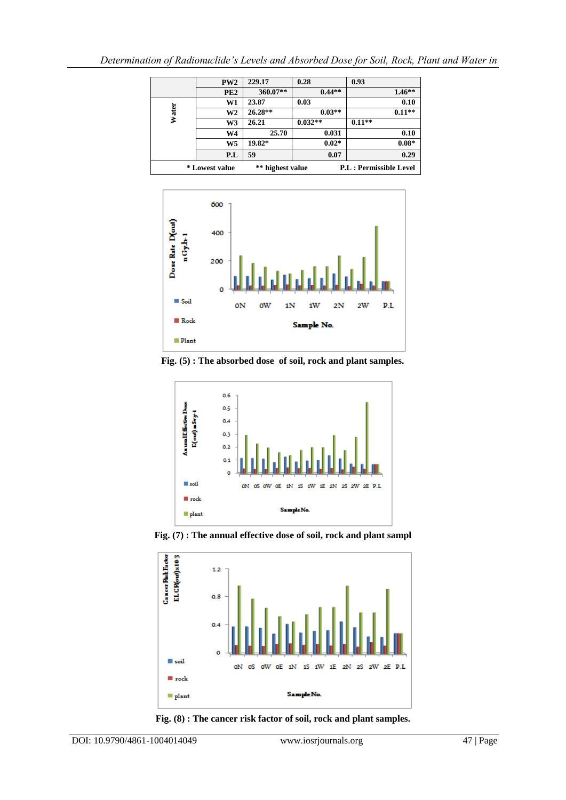|       | PW2             | 229.17           | 0.28      | 0.93                          |
|-------|-----------------|------------------|-----------|-------------------------------|
|       | PE <sub>2</sub> | 360.07**         | $0.44**$  | $1.46**$                      |
|       | W1              | 23.87            | 0.03      | 0.10                          |
| Water | W2              | $26.28**$        | $0.03**$  | $0.11**$                      |
|       | W3              | 26.21            | $0.032**$ | $0.11**$                      |
|       | W4              | 25.70            | 0.031     | 0.10                          |
|       | W5              | 19.82*           | $0.02*$   | $0.08*$                       |
|       | P.L             | 59               | 0.07      | 0.29                          |
|       | * Lowest value  | ** highest value |           | <b>P.L: Permissible Level</b> |



**Fig. (5) : The absorbed dose of soil, rock and plant samples.**



**Fig. (7) : The annual effective dose of soil, rock and plant sampl**



**Fig. (8) : The cancer risk factor of soil, rock and plant samples.**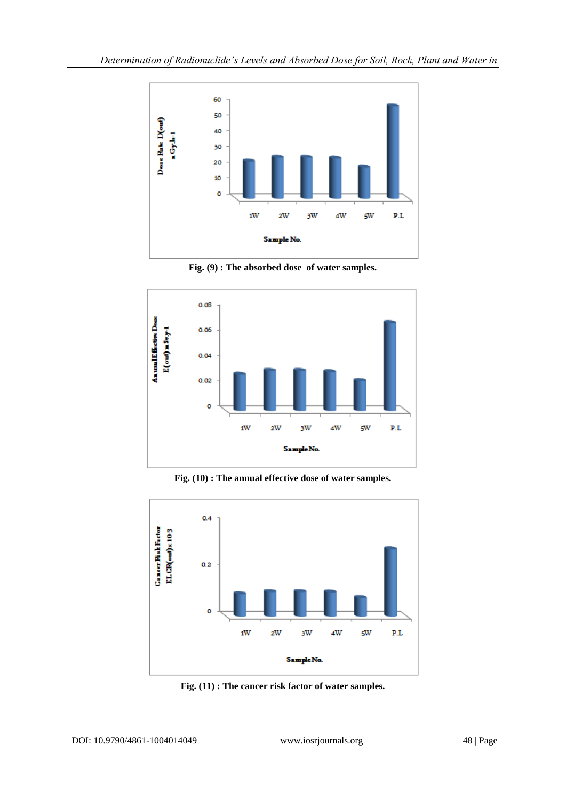

**Fig. (9) : The absorbed dose of water samples.**



**Fig. (10) : The annual effective dose of water samples.**



**Fig. (11) : The cancer risk factor of water samples.**